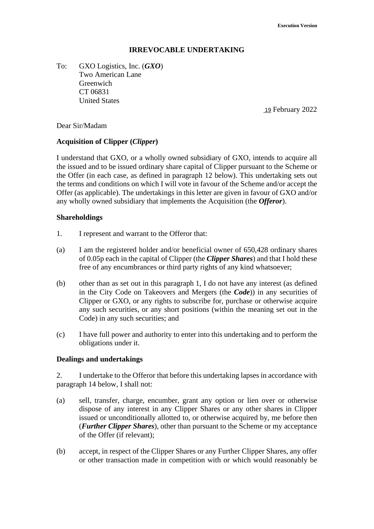### **IRREVOCABLE UNDERTAKING**

To: GXO Logistics, Inc. (*GXO*) Two American Lane Greenwich CT 06831 United States

19 February 2022

#### Dear Sir/Madam

#### **Acquisition of Clipper (***Clipper***)**

I understand that GXO, or a wholly owned subsidiary of GXO, intends to acquire all the issued and to be issued ordinary share capital of Clipper pursuant to the Scheme or the Offer (in each case, as defined in paragraph 12 below). This undertaking sets out the terms and conditions on which I will vote in favour of the Scheme and/or accept the Offer (as applicable). The undertakings in this letter are given in favour of GXO and/or any wholly owned subsidiary that implements the Acquisition (the *Offeror*).

#### **Shareholdings**

- 1. I represent and warrant to the Offeror that:
- (a) I am the registered holder and/or beneficial owner of 650,428 ordinary shares of 0.05p each in the capital of Clipper (the *Clipper Shares*) and that I hold these free of any encumbrances or third party rights of any kind whatsoever;
- (b) other than as set out in this paragraph 1, I do not have any interest (as defined in the City Code on Takeovers and Mergers (the *Code*)) in any securities of Clipper or GXO, or any rights to subscribe for, purchase or otherwise acquire any such securities, or any short positions (within the meaning set out in the Code) in any such securities; and
- (c) I have full power and authority to enter into this undertaking and to perform the obligations under it.

#### **Dealings and undertakings**

2. I undertake to the Offeror that before this undertaking lapses in accordance with paragraph 14 below, I shall not:

- (a) sell, transfer, charge, encumber, grant any option or lien over or otherwise dispose of any interest in any Clipper Shares or any other shares in Clipper issued or unconditionally allotted to, or otherwise acquired by, me before then (*Further Clipper Shares*), other than pursuant to the Scheme or my acceptance of the Offer (if relevant);
- (b) accept, in respect of the Clipper Shares or any Further Clipper Shares, any offer or other transaction made in competition with or which would reasonably be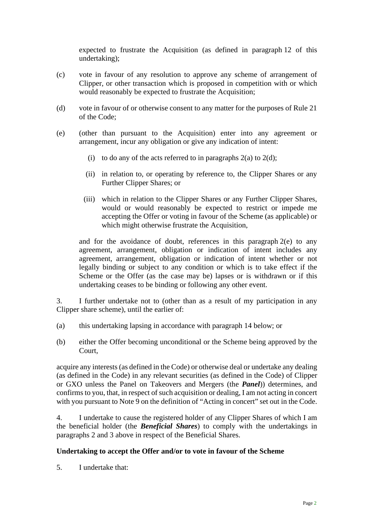expected to frustrate the Acquisition (as defined in paragraph 12 of this undertaking);

- (c) vote in favour of any resolution to approve any scheme of arrangement of Clipper, or other transaction which is proposed in competition with or which would reasonably be expected to frustrate the Acquisition;
- (d) vote in favour of or otherwise consent to any matter for the purposes of Rule 21 of the Code;
- (e) (other than pursuant to the Acquisition) enter into any agreement or arrangement, incur any obligation or give any indication of intent:
	- (i) to do any of the acts referred to in paragraphs  $2(a)$  to  $2(d)$ ;
	- (ii) in relation to, or operating by reference to, the Clipper Shares or any Further Clipper Shares; or
	- (iii) which in relation to the Clipper Shares or any Further Clipper Shares, would or would reasonably be expected to restrict or impede me accepting the Offer or voting in favour of the Scheme (as applicable) or which might otherwise frustrate the Acquisition,

and for the avoidance of doubt, references in this paragraph  $2(e)$  to any agreement, arrangement, obligation or indication of intent includes any agreement, arrangement, obligation or indication of intent whether or not legally binding or subject to any condition or which is to take effect if the Scheme or the Offer (as the case may be) lapses or is withdrawn or if this undertaking ceases to be binding or following any other event.

3. I further undertake not to (other than as a result of my participation in any Clipper share scheme), until the earlier of:

- (a) this undertaking lapsing in accordance with paragraph 14 below; or
- (b) either the Offer becoming unconditional or the Scheme being approved by the Court,

acquire any interests (as defined in the Code) or otherwise deal or undertake any dealing (as defined in the Code) in any relevant securities (as defined in the Code) of Clipper or GXO unless the Panel on Takeovers and Mergers (the *Panel*)) determines, and confirms to you, that, in respect of such acquisition or dealing, I am not acting in concert with you pursuant to Note 9 on the definition of "Acting in concert" set out in the Code.

4. I undertake to cause the registered holder of any Clipper Shares of which I am the beneficial holder (the *Beneficial Shares*) to comply with the undertakings in paragraphs 2 and 3 above in respect of the Beneficial Shares.

### **Undertaking to accept the Offer and/or to vote in favour of the Scheme**

5. I undertake that: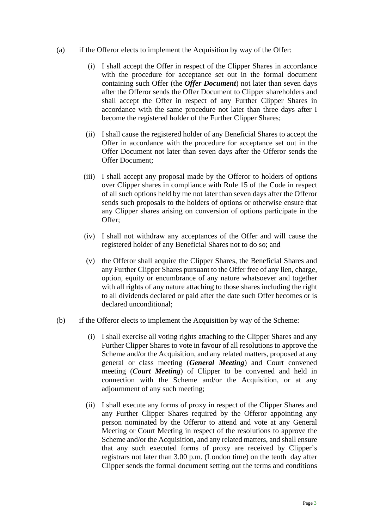- (a) if the Offeror elects to implement the Acquisition by way of the Offer:
	- (i) I shall accept the Offer in respect of the Clipper Shares in accordance with the procedure for acceptance set out in the formal document containing such Offer (the *Offer Document*) not later than seven days after the Offeror sends the Offer Document to Clipper shareholders and shall accept the Offer in respect of any Further Clipper Shares in accordance with the same procedure not later than three days after I become the registered holder of the Further Clipper Shares;
	- (ii) I shall cause the registered holder of any Beneficial Shares to accept the Offer in accordance with the procedure for acceptance set out in the Offer Document not later than seven days after the Offeror sends the Offer Document;
	- (iii) I shall accept any proposal made by the Offeror to holders of options over Clipper shares in compliance with Rule 15 of the Code in respect of all such options held by me not later than seven days after the Offeror sends such proposals to the holders of options or otherwise ensure that any Clipper shares arising on conversion of options participate in the Offer;
	- (iv) I shall not withdraw any acceptances of the Offer and will cause the registered holder of any Beneficial Shares not to do so; and
	- (v) the Offeror shall acquire the Clipper Shares, the Beneficial Shares and any Further Clipper Shares pursuant to the Offer free of any lien, charge, option, equity or encumbrance of any nature whatsoever and together with all rights of any nature attaching to those shares including the right to all dividends declared or paid after the date such Offer becomes or is declared unconditional;
- (b) if the Offeror elects to implement the Acquisition by way of the Scheme:
	- (i) I shall exercise all voting rights attaching to the Clipper Shares and any Further Clipper Shares to vote in favour of all resolutions to approve the Scheme and/or the Acquisition, and any related matters, proposed at any general or class meeting (*General Meeting*) and Court convened meeting (*Court Meeting*) of Clipper to be convened and held in connection with the Scheme and/or the Acquisition, or at any adiournment of any such meeting:
	- (ii) I shall execute any forms of proxy in respect of the Clipper Shares and any Further Clipper Shares required by the Offeror appointing any person nominated by the Offeror to attend and vote at any General Meeting or Court Meeting in respect of the resolutions to approve the Scheme and/or the Acquisition, and any related matters, and shall ensure that any such executed forms of proxy are received by Clipper's registrars not later than 3.00 p.m. (London time) on the tenth day after Clipper sends the formal document setting out the terms and conditions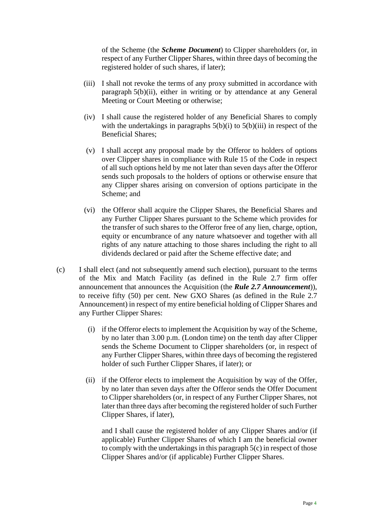of the Scheme (the *Scheme Document*) to Clipper shareholders (or, in respect of any Further Clipper Shares, within three days of becoming the registered holder of such shares, if later);

- (iii) I shall not revoke the terms of any proxy submitted in accordance with paragraph 5(b)(ii), either in writing or by attendance at any General Meeting or Court Meeting or otherwise;
- (iv) I shall cause the registered holder of any Beneficial Shares to comply with the undertakings in paragraphs  $5(b)(i)$  to  $5(b)(iii)$  in respect of the Beneficial Shares;
- (v) I shall accept any proposal made by the Offeror to holders of options over Clipper shares in compliance with Rule 15 of the Code in respect of all such options held by me not later than seven days after the Offeror sends such proposals to the holders of options or otherwise ensure that any Clipper shares arising on conversion of options participate in the Scheme; and
- (vi) the Offeror shall acquire the Clipper Shares, the Beneficial Shares and any Further Clipper Shares pursuant to the Scheme which provides for the transfer of such shares to the Offeror free of any lien, charge, option, equity or encumbrance of any nature whatsoever and together with all rights of any nature attaching to those shares including the right to all dividends declared or paid after the Scheme effective date; and
- (c) I shall elect (and not subsequently amend such election), pursuant to the terms of the Mix and Match Facility (as defined in the Rule 2.7 firm offer announcement that announces the Acquisition (the *Rule 2.7 Announcement*)), to receive fifty (50) per cent. New GXO Shares (as defined in the Rule 2.7 Announcement) in respect of my entire beneficial holding of Clipper Shares and any Further Clipper Shares:
	- (i) if the Offeror elects to implement the Acquisition by way of the Scheme, by no later than 3.00 p.m. (London time) on the tenth day after Clipper sends the Scheme Document to Clipper shareholders (or, in respect of any Further Clipper Shares, within three days of becoming the registered holder of such Further Clipper Shares, if later); or
	- (ii) if the Offeror elects to implement the Acquisition by way of the Offer, by no later than seven days after the Offeror sends the Offer Document to Clipper shareholders (or, in respect of any Further Clipper Shares, not later than three days after becoming the registered holder of such Further Clipper Shares, if later),

and I shall cause the registered holder of any Clipper Shares and/or (if applicable) Further Clipper Shares of which I am the beneficial owner to comply with the undertakings in this paragraph 5(c) in respect of those Clipper Shares and/or (if applicable) Further Clipper Shares.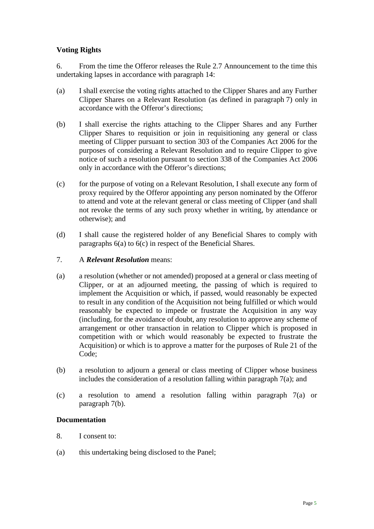## **Voting Rights**

6. From the time the Offeror releases the Rule 2.7 Announcement to the time this undertaking lapses in accordance with paragraph 14:

- (a) I shall exercise the voting rights attached to the Clipper Shares and any Further Clipper Shares on a Relevant Resolution (as defined in paragraph 7) only in accordance with the Offeror's directions;
- (b) I shall exercise the rights attaching to the Clipper Shares and any Further Clipper Shares to requisition or join in requisitioning any general or class meeting of Clipper pursuant to section 303 of the Companies Act 2006 for the purposes of considering a Relevant Resolution and to require Clipper to give notice of such a resolution pursuant to section 338 of the Companies Act 2006 only in accordance with the Offeror's directions;
- (c) for the purpose of voting on a Relevant Resolution, I shall execute any form of proxy required by the Offeror appointing any person nominated by the Offeror to attend and vote at the relevant general or class meeting of Clipper (and shall not revoke the terms of any such proxy whether in writing, by attendance or otherwise); and
- (d) I shall cause the registered holder of any Beneficial Shares to comply with paragraphs 6(a) to 6(c) in respect of the Beneficial Shares.
- 7. A *Relevant Resolution* means:
- (a) a resolution (whether or not amended) proposed at a general or class meeting of Clipper, or at an adjourned meeting, the passing of which is required to implement the Acquisition or which, if passed, would reasonably be expected to result in any condition of the Acquisition not being fulfilled or which would reasonably be expected to impede or frustrate the Acquisition in any way (including, for the avoidance of doubt, any resolution to approve any scheme of arrangement or other transaction in relation to Clipper which is proposed in competition with or which would reasonably be expected to frustrate the Acquisition) or which is to approve a matter for the purposes of Rule 21 of the Code;
- (b) a resolution to adjourn a general or class meeting of Clipper whose business includes the consideration of a resolution falling within paragraph  $7(a)$ ; and
- (c) a resolution to amend a resolution falling within paragraph 7(a) or paragraph 7(b).

#### **Documentation**

- 8. I consent to:
- (a) this undertaking being disclosed to the Panel;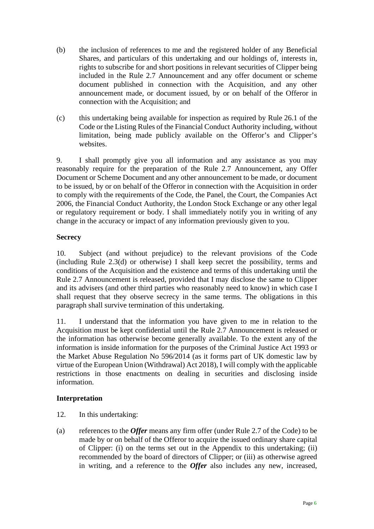- (b) the inclusion of references to me and the registered holder of any Beneficial Shares, and particulars of this undertaking and our holdings of, interests in, rights to subscribe for and short positions in relevant securities of Clipper being included in the Rule 2.7 Announcement and any offer document or scheme document published in connection with the Acquisition, and any other announcement made, or document issued, by or on behalf of the Offeror in connection with the Acquisition; and
- (c) this undertaking being available for inspection as required by Rule 26.1 of the Code or the Listing Rules of the Financial Conduct Authority including, without limitation, being made publicly available on the Offeror's and Clipper's websites.

9. I shall promptly give you all information and any assistance as you may reasonably require for the preparation of the Rule 2.7 Announcement, any Offer Document or Scheme Document and any other announcement to be made, or document to be issued, by or on behalf of the Offeror in connection with the Acquisition in order to comply with the requirements of the Code, the Panel, the Court, the Companies Act 2006, the Financial Conduct Authority, the London Stock Exchange or any other legal or regulatory requirement or body. I shall immediately notify you in writing of any change in the accuracy or impact of any information previously given to you.

## **Secrecy**

10. Subject (and without prejudice) to the relevant provisions of the Code (including Rule 2.3(d) or otherwise) I shall keep secret the possibility, terms and conditions of the Acquisition and the existence and terms of this undertaking until the Rule 2.7 Announcement is released, provided that I may disclose the same to Clipper and its advisers (and other third parties who reasonably need to know) in which case I shall request that they observe secrecy in the same terms. The obligations in this paragraph shall survive termination of this undertaking.

11. I understand that the information you have given to me in relation to the Acquisition must be kept confidential until the Rule 2.7 Announcement is released or the information has otherwise become generally available. To the extent any of the information is inside information for the purposes of the Criminal Justice Act 1993 or the Market Abuse Regulation No 596/2014 (as it forms part of UK domestic law by virtue of the European Union (Withdrawal) Act 2018), I will comply with the applicable restrictions in those enactments on dealing in securities and disclosing inside information.

## **Interpretation**

- 12. In this undertaking:
- (a) references to the *Offer* means any firm offer (under Rule 2.7 of the Code) to be made by or on behalf of the Offeror to acquire the issued ordinary share capital of Clipper: (i) on the terms set out in the Appendix to this undertaking; (ii) recommended by the board of directors of Clipper; or (iii) as otherwise agreed in writing, and a reference to the *Offer* also includes any new, increased,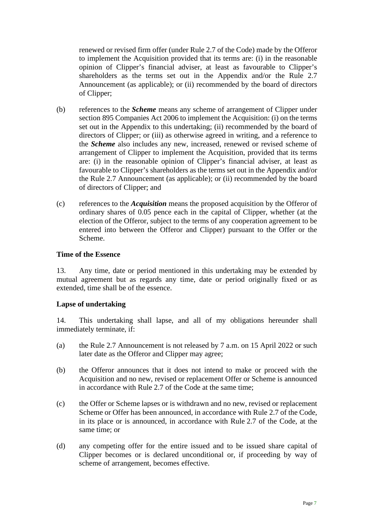renewed or revised firm offer (under Rule 2.7 of the Code) made by the Offeror to implement the Acquisition provided that its terms are: (i) in the reasonable opinion of Clipper's financial adviser, at least as favourable to Clipper's shareholders as the terms set out in the Appendix and/or the Rule 2.7 Announcement (as applicable); or (ii) recommended by the board of directors of Clipper;

- (b) references to the *Scheme* means any scheme of arrangement of Clipper under section 895 Companies Act 2006 to implement the Acquisition: (i) on the terms set out in the Appendix to this undertaking; (ii) recommended by the board of directors of Clipper; or (iii) as otherwise agreed in writing, and a reference to the *Scheme* also includes any new, increased, renewed or revised scheme of arrangement of Clipper to implement the Acquisition, provided that its terms are: (i) in the reasonable opinion of Clipper's financial adviser, at least as favourable to Clipper's shareholders as the terms set out in the Appendix and/or the Rule 2.7 Announcement (as applicable); or (ii) recommended by the board of directors of Clipper; and
- (c) references to the *Acquisition* means the proposed acquisition by the Offeror of ordinary shares of 0.05 pence each in the capital of Clipper, whether (at the election of the Offeror, subject to the terms of any cooperation agreement to be entered into between the Offeror and Clipper) pursuant to the Offer or the Scheme.

### **Time of the Essence**

13. Any time, date or period mentioned in this undertaking may be extended by mutual agreement but as regards any time, date or period originally fixed or as extended, time shall be of the essence.

### **Lapse of undertaking**

14. This undertaking shall lapse, and all of my obligations hereunder shall immediately terminate, if:

- (a) the Rule 2.7 Announcement is not released by 7 a.m. on 15 April 2022 or such later date as the Offeror and Clipper may agree;
- (b) the Offeror announces that it does not intend to make or proceed with the Acquisition and no new, revised or replacement Offer or Scheme is announced in accordance with Rule 2.7 of the Code at the same time;
- (c) the Offer or Scheme lapses or is withdrawn and no new, revised or replacement Scheme or Offer has been announced, in accordance with Rule 2.7 of the Code, in its place or is announced, in accordance with Rule 2.7 of the Code, at the same time; or
- (d) any competing offer for the entire issued and to be issued share capital of Clipper becomes or is declared unconditional or, if proceeding by way of scheme of arrangement, becomes effective.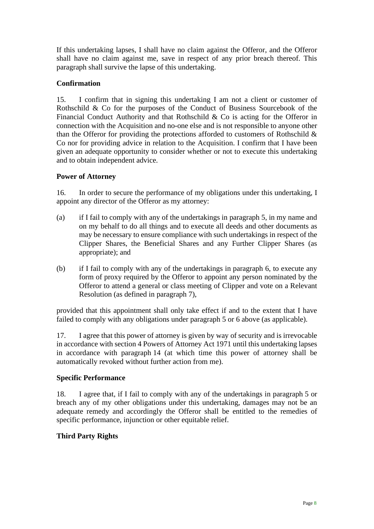If this undertaking lapses, I shall have no claim against the Offeror, and the Offeror shall have no claim against me, save in respect of any prior breach thereof. This paragraph shall survive the lapse of this undertaking.

## **Confirmation**

15. I confirm that in signing this undertaking I am not a client or customer of Rothschild & Co for the purposes of the Conduct of Business Sourcebook of the Financial Conduct Authority and that Rothschild & Co is acting for the Offeror in connection with the Acquisition and no-one else and is not responsible to anyone other than the Offeror for providing the protections afforded to customers of Rothschild  $\&$ Co nor for providing advice in relation to the Acquisition. I confirm that I have been given an adequate opportunity to consider whether or not to execute this undertaking and to obtain independent advice.

### **Power of Attorney**

16. In order to secure the performance of my obligations under this undertaking, I appoint any director of the Offeror as my attorney:

- (a) if I fail to comply with any of the undertakings in paragraph 5, in my name and on my behalf to do all things and to execute all deeds and other documents as may be necessary to ensure compliance with such undertakings in respect of the Clipper Shares, the Beneficial Shares and any Further Clipper Shares (as appropriate); and
- (b) if I fail to comply with any of the undertakings in paragraph 6, to execute any form of proxy required by the Offeror to appoint any person nominated by the Offeror to attend a general or class meeting of Clipper and vote on a Relevant Resolution (as defined in paragraph 7),

provided that this appointment shall only take effect if and to the extent that I have failed to comply with any obligations under paragraph 5 or 6 above (as applicable).

17. I agree that this power of attorney is given by way of security and is irrevocable in accordance with section 4 Powers of Attorney Act 1971 until this undertaking lapses in accordance with paragraph 14 (at which time this power of attorney shall be automatically revoked without further action from me).

### **Specific Performance**

18. I agree that, if I fail to comply with any of the undertakings in paragraph 5 or breach any of my other obligations under this undertaking, damages may not be an adequate remedy and accordingly the Offeror shall be entitled to the remedies of specific performance, injunction or other equitable relief.

## **Third Party Rights**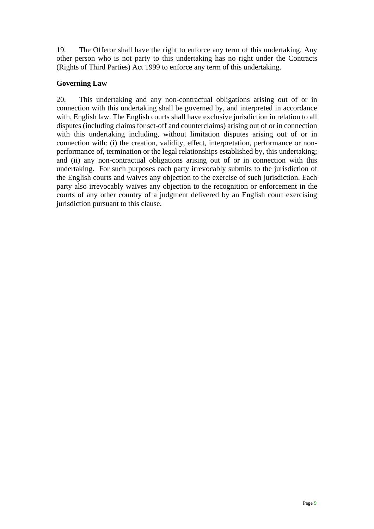19. The Offeror shall have the right to enforce any term of this undertaking. Any other person who is not party to this undertaking has no right under the Contracts (Rights of Third Parties) Act 1999 to enforce any term of this undertaking.

### **Governing Law**

20. This undertaking and any non-contractual obligations arising out of or in connection with this undertaking shall be governed by, and interpreted in accordance with, English law. The English courts shall have exclusive jurisdiction in relation to all disputes (including claims for set-off and counterclaims) arising out of or in connection with this undertaking including, without limitation disputes arising out of or in connection with: (i) the creation, validity, effect, interpretation, performance or nonperformance of, termination or the legal relationships established by, this undertaking; and (ii) any non-contractual obligations arising out of or in connection with this undertaking. For such purposes each party irrevocably submits to the jurisdiction of the English courts and waives any objection to the exercise of such jurisdiction. Each party also irrevocably waives any objection to the recognition or enforcement in the courts of any other country of a judgment delivered by an English court exercising jurisdiction pursuant to this clause.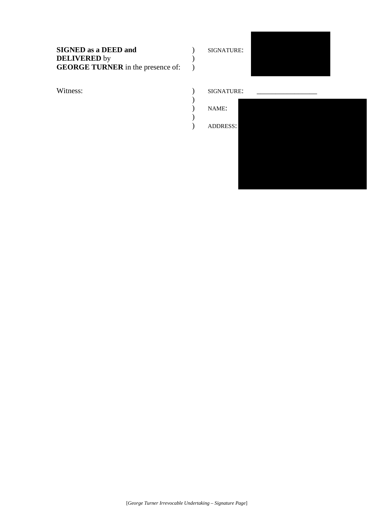# **SIGNED as a DEED and**  $\qquad$  ) SIGNATURE: **DELIVERED** by  $($ **GEORGE TURNER** in the presence of: )



#### Witness:  $\qquad \qquad$  SIGNATURE: